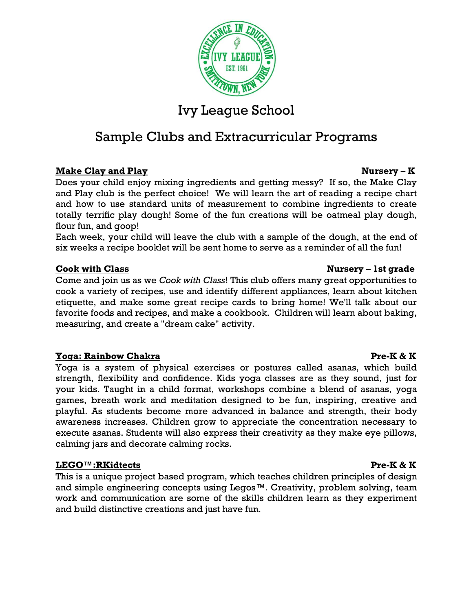

# Sample Clubs and Extracurricular Programs

# **Make Clay and Play Nursery – K**

Does your child enjoy mixing ingredients and getting messy? If so, the Make Clay and Play club is the perfect choice! We will learn the art of reading a recipe chart and how to use standard units of measurement to combine ingredients to create totally terrific play dough! Some of the fun creations will be oatmeal play dough, flour fun, and goop!

Each week, your child will leave the club with a sample of the dough, at the end of six weeks a recipe booklet will be sent home to serve as a reminder of all the fun!

### **Cook with Class Cook with Class Cook with Class Cook with Class Cook with Class Cook with Class Cook and Cook and Cook and Cook and Cook and Cook and Cook and Cook and Cook and Cook and Cook and Cook and Cook and Cook and**

Come and join us as we *Cook with Class*! This club offers many great opportunities to cook a variety of recipes, use and identify different appliances, learn about kitchen etiquette, and make some great recipe cards to bring home! We'll talk about our favorite foods and recipes, and make a cookbook. Children will learn about baking, measuring, and create a "dream cake" activity.

### **Yoga: Rainbow Chakra Pre-K & K**

Yoga is a system of physical exercises or postures called asanas, which build strength, flexibility and confidence. Kids yoga classes are as they sound, just for your kids. Taught in a child format, workshops combine a blend of asanas, yoga games, breath work and meditation designed to be fun, inspiring, creative and playful. As students become more advanced in balance and strength, their body awareness increases. Children grow to appreciate the concentration necessary to execute asanas. Students will also express their creativity as they make eye pillows, calming jars and decorate calming rocks.

### **LEGO™:RKidtects Pre-K & K**

This is a unique project based program, which teaches children principles of design and simple engineering concepts using Legos™. Creativity, problem solving, team work and communication are some of the skills children learn as they experiment and build distinctive creations and just have fun.

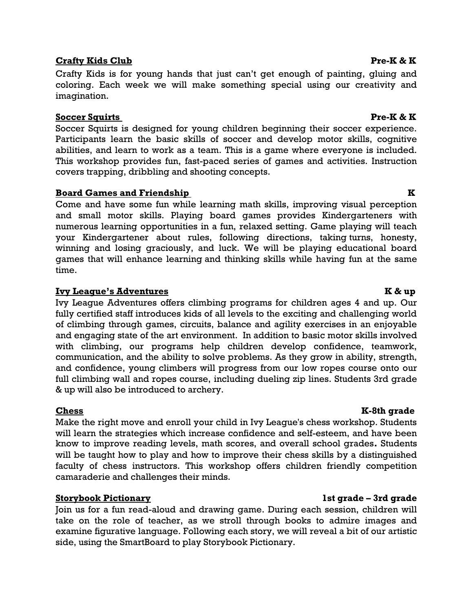# **Crafty Kids Club Pre-K & K**

Crafty Kids is for young hands that just can't get enough of painting, gluing and coloring. Each week we will make something special using our creativity and imagination.

# **Soccer Squirts Pre-K & K**

Soccer Squirts is designed for young children beginning their soccer experience. Participants learn the basic skills of soccer and develop motor skills, cognitive abilities, and learn to work as a team. This is a game where everyone is included. This workshop provides fun, fast-paced series of games and activities. Instruction covers trapping, dribbling and shooting concepts.

# **Board Games and Friendship K**

Come and have some fun while learning math skills, improving visual perception and small motor skills. Playing board games provides Kindergarteners with numerous learning opportunities in a fun, relaxed setting. Game playing will teach your Kindergartener about rules, following directions, taking turns, honesty, winning and losing graciously, and luck. We will be playing educational board games that will enhance learning and thinking skills while having fun at the same time.

# **Ivy League's Adventures****K & up**

Ivy League Adventures offers climbing programs for children ages 4 and up. Our fully certified staff introduces kids of all levels to the exciting and challenging world of climbing through games, circuits, balance and agility exercises in an enjoyable and engaging state of the art environment. In addition to basic motor skills involved with climbing, our programs help children develop confidence, teamwork, communication, and the ability to solve problems. As they grow in ability, strength, and confidence, young climbers will progress from our low ropes course onto our full climbing wall and ropes course, including dueling zip lines. Students 3rd grade & up will also be introduced to archery.

Make the right move and enroll your child in Ivy League's chess workshop. Students will learn the strategies which increase confidence and self-esteem, and have been know to improve reading levels, math scores, and overall school grades**.** Students will be taught how to play and how to improve their chess skills by a distinguished faculty of chess instructors. This workshop offers children friendly competition camaraderie and challenges their minds.

# **Storybook Pictionary 1st grade – 3rd grade**

Join us for a fun read-aloud and drawing game. During each session, children will take on the role of teacher, as we stroll through books to admire images and examine figurative language. Following each story, we will reveal a bit of our artistic side, using the SmartBoard to play Storybook Pictionary.

### **Chess** K-8th grade **K-8th grade**